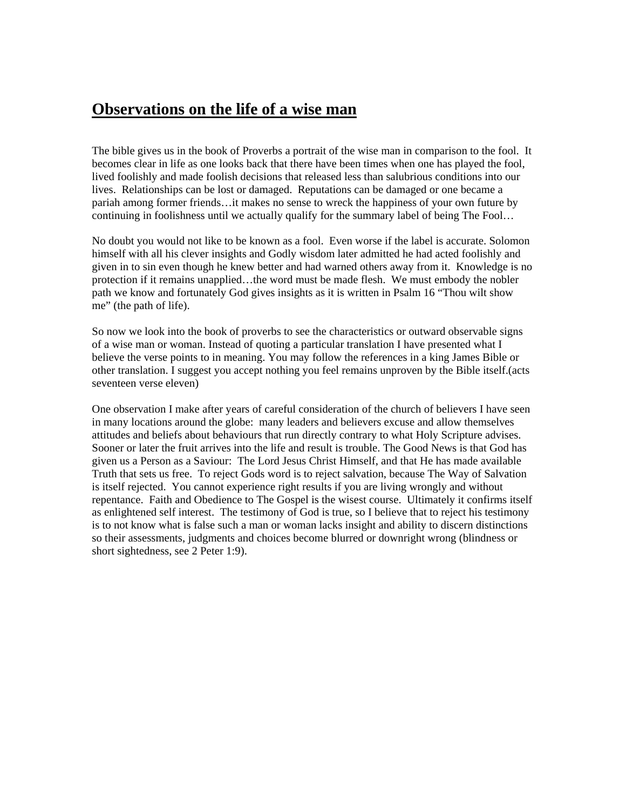## **Observations on the life of a wise man**

The bible gives us in the book of Proverbs a portrait of the wise man in comparison to the fool. It becomes clear in life as one looks back that there have been times when one has played the fool, lived foolishly and made foolish decisions that released less than salubrious conditions into our lives. Relationships can be lost or damaged. Reputations can be damaged or one became a pariah among former friends…it makes no sense to wreck the happiness of your own future by continuing in foolishness until we actually qualify for the summary label of being The Fool…

No doubt you would not like to be known as a fool. Even worse if the label is accurate. Solomon himself with all his clever insights and Godly wisdom later admitted he had acted foolishly and given in to sin even though he knew better and had warned others away from it. Knowledge is no protection if it remains unapplied…the word must be made flesh. We must embody the nobler path we know and fortunately God gives insights as it is written in Psalm 16 "Thou wilt show me" (the path of life).

So now we look into the book of proverbs to see the characteristics or outward observable signs of a wise man or woman. Instead of quoting a particular translation I have presented what I believe the verse points to in meaning. You may follow the references in a king James Bible or other translation. I suggest you accept nothing you feel remains unproven by the Bible itself.(acts seventeen verse eleven)

One observation I make after years of careful consideration of the church of believers I have seen in many locations around the globe: many leaders and believers excuse and allow themselves attitudes and beliefs about behaviours that run directly contrary to what Holy Scripture advises. Sooner or later the fruit arrives into the life and result is trouble. The Good News is that God has given us a Person as a Saviour: The Lord Jesus Christ Himself, and that He has made available Truth that sets us free. To reject Gods word is to reject salvation, because The Way of Salvation is itself rejected. You cannot experience right results if you are living wrongly and without repentance. Faith and Obedience to The Gospel is the wisest course. Ultimately it confirms itself as enlightened self interest. The testimony of God is true, so I believe that to reject his testimony is to not know what is false such a man or woman lacks insight and ability to discern distinctions so their assessments, judgments and choices become blurred or downright wrong (blindness or short sightedness, see 2 Peter 1:9).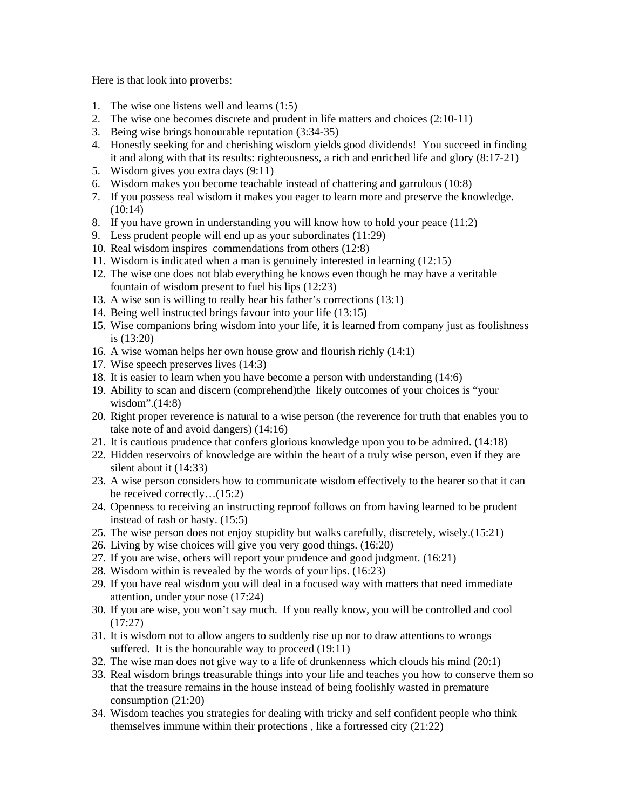Here is that look into proverbs:

- 1. The wise one listens well and learns (1:5)
- 2. The wise one becomes discrete and prudent in life matters and choices (2:10-11)
- 3. Being wise brings honourable reputation (3:34-35)
- 4. Honestly seeking for and cherishing wisdom yields good dividends! You succeed in finding it and along with that its results: righteousness, a rich and enriched life and glory (8:17-21)
- 5. Wisdom gives you extra days (9:11)
- 6. Wisdom makes you become teachable instead of chattering and garrulous (10:8)
- 7. If you possess real wisdom it makes you eager to learn more and preserve the knowledge. (10:14)
- 8. If you have grown in understanding you will know how to hold your peace (11:2)
- 9. Less prudent people will end up as your subordinates (11:29)
- 10. Real wisdom inspires commendations from others (12:8)
- 11. Wisdom is indicated when a man is genuinely interested in learning (12:15)
- 12. The wise one does not blab everything he knows even though he may have a veritable fountain of wisdom present to fuel his lips (12:23)
- 13. A wise son is willing to really hear his father's corrections (13:1)
- 14. Being well instructed brings favour into your life (13:15)
- 15. Wise companions bring wisdom into your life, it is learned from company just as foolishness is (13:20)
- 16. A wise woman helps her own house grow and flourish richly (14:1)
- 17. Wise speech preserves lives (14:3)
- 18. It is easier to learn when you have become a person with understanding (14:6)
- 19. Ability to scan and discern (comprehend)the likely outcomes of your choices is "your wisdom".(14:8)
- 20. Right proper reverence is natural to a wise person (the reverence for truth that enables you to take note of and avoid dangers) (14:16)
- 21. It is cautious prudence that confers glorious knowledge upon you to be admired. (14:18)
- 22. Hidden reservoirs of knowledge are within the heart of a truly wise person, even if they are silent about it (14:33)
- 23. A wise person considers how to communicate wisdom effectively to the hearer so that it can be received correctly…(15:2)
- 24. Openness to receiving an instructing reproof follows on from having learned to be prudent instead of rash or hasty. (15:5)
- 25. The wise person does not enjoy stupidity but walks carefully, discretely, wisely.(15:21)
- 26. Living by wise choices will give you very good things. (16:20)
- 27. If you are wise, others will report your prudence and good judgment. (16:21)
- 28. Wisdom within is revealed by the words of your lips. (16:23)
- 29. If you have real wisdom you will deal in a focused way with matters that need immediate attention, under your nose (17:24)
- 30. If you are wise, you won't say much. If you really know, you will be controlled and cool (17:27)
- 31. It is wisdom not to allow angers to suddenly rise up nor to draw attentions to wrongs suffered. It is the honourable way to proceed  $(19:11)$
- 32. The wise man does not give way to a life of drunkenness which clouds his mind (20:1)
- 33. Real wisdom brings treasurable things into your life and teaches you how to conserve them so that the treasure remains in the house instead of being foolishly wasted in premature consumption (21:20)
- 34. Wisdom teaches you strategies for dealing with tricky and self confident people who think themselves immune within their protections , like a fortressed city (21:22)